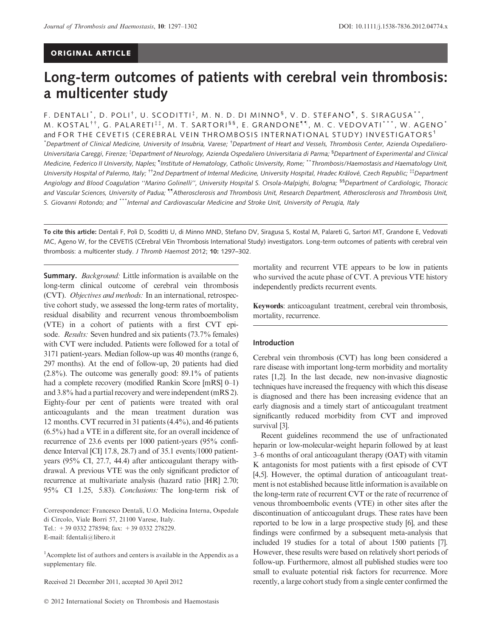# ORIGINAL ARTICLE

# Long-term outcomes of patients with cerebral vein thrombosis: a multicenter study

F. DENTALI $^*$ , D. POLI $^\dagger$ , U. SCODITTI $^\ddagger$ , M. N. D. DI MINNO $^{\mathsf{s}}$ , V. D. STEFANO $^\P$ , S. SIRAGUSA $^{**}$ , M. KOSTAL $^{\dagger\dagger}$ , G. PALARETI $^{\ddagger\ddagger}$ , M. T. SARTORI $^{\mathsf{S}\mathsf{S}}$ , E. GRANDONE $^{\P\mathsf{I}\mathsf{I}}$ , M. C. VEDOVATI $^{\ast\ast\ast}$ , W. AGENO $^{\ast}$ and FOR THE CEVETIS (CEREBRAL VEIN THROMBOSIS INTERNATIONAL STUDY) INVESTIGATORS<sup>1</sup> \*Department of Clinical Medicine, University of Insubria, Varese; <sup>†</sup>Department of Heart and Vessels, Thrombosis Center, Azienda Ospedaliero-Universitaria Careggi, Firenze; <sup>‡</sup>Department of Neurology, Azienda Ospedaliero Universitaria di Parma; <sup>§</sup>Department of Experimental and Clinical Medicine, Federico II University, Naples; <sup>¶</sup>Institute of Hematology, Catholic University, Rome; \*\*Thrombosis/Haemostasis and Haematology Unit, University Hospital of Palermo, Italy; <sup>††</sup>2nd Department of Internal Medicine, University Hospital, Hradec Králové, Czech Republic; <sup>‡‡</sup>Department Angiology and Blood Coagulation ''Marino Golinelli'', University Hospital S. Orsola-Malpighi, Bologna; §§Department of Cardiologic, Thoracic and Vascular Sciences, University of Padua; "IAtherosclerosis and Thrombosis Unit, Research Department, Atherosclerosis and Thrombosis Unit, S. Giovanni Rotondo; and \*\*\*Internal and Cardiovascular Medicine and Stroke Unit, University of Perugia, Italy

To cite this article: Dentali F, Poli D, Scoditti U, di Minno MND, Stefano DV, Siragusa S, Kostal M, Palareti G, Sartori MT, Grandone E, Vedovati MC, Ageno W, for the CEVETIS (CErebral VEin Thrombosis International Study) investigators. Long-term outcomes of patients with cerebral vein thrombosis: a multicenter study. J Thromb Haemost 2012; 10: 1297–302.

**Summary.** *Background:* Little information is available on the long-term clinical outcome of cerebral vein thrombosis (CVT). Objectives and methods: In an international, retrospective cohort study, we assessed the long-term rates of mortality, residual disability and recurrent venous thromboembolism (VTE) in a cohort of patients with a first CVT episode. Results: Seven hundred and six patients (73.7% females) with CVT were included. Patients were followed for a total of 3171 patient-years. Median follow-up was 40 months (range 6, 297 months). At the end of follow-up, 20 patients had died  $(2.8\%)$ . The outcome was generally good:  $89.1\%$  of patients had a complete recovery (modified Rankin Score [mRS] 0-1) and 3.8% had a partial recovery and were independent (mRS 2). Eighty-four per cent of patients were treated with oral anticoagulants and the mean treatment duration was 12 months. CVT recurred in 31 patients (4.4%), and 46 patients (6.5%) had a VTE in a different site, for an overall incidence of recurrence of 23.6 events per 1000 patient-years (95% confidence Interval [CI] 17.8, 28.7) and of 35.1 events/1000 patientyears (95% CI, 27.7, 44.4) after anticoagulant therapy withdrawal. A previous VTE was the only significant predictor of recurrence at multivariate analysis (hazard ratio [HR] 2.70; 95% CI 1.25, 5.83). Conclusions: The long-term risk of

Correspondence: Francesco Dentali, U.O. Medicina Interna, Ospedale di Circolo, Viale Borri 57, 21100 Varese, Italy. Tel.: +39 0332 278594; fax: +39 0332 278229. E-mail: fdentali@libero.it

<sup>1</sup> Acomplete list of authors and centers is available in the Appendix as a supplementary file.

Received 21 December 2011, accepted 30 April 2012

mortality and recurrent VTE appears to be low in patients who survived the acute phase of CVT. A previous VTE history independently predicts recurrent events.

Keywords: anticoagulant treatment, cerebral vein thrombosis, mortality, recurrence.

## Introduction

Cerebral vein thrombosis (CVT) has long been considered a rare disease with important long-term morbidity and mortality rates [1,2]. In the last decade, new non-invasive diagnostic techniques have increased the frequency with which this disease is diagnosed and there has been increasing evidence that an early diagnosis and a timely start of anticoagulant treatment significantly reduced morbidity from CVT and improved survival [3].

Recent guidelines recommend the use of unfractionated heparin or low-molecular-weight heparin followed by at least 3–6 months of oral anticoagulant therapy (OAT) with vitamin K antagonists for most patients with a first episode of CVT [4,5]. However, the optimal duration of anticoagulant treatment is not established because little information is available on the long-term rate of recurrent CVT or the rate of recurrence of venous thromboembolic events (VTE) in other sites after the discontinuation of anticoagulant drugs. These rates have been reported to be low in a large prospective study [6], and these findings were confirmed by a subsequent meta-analysis that included 19 studies for a total of about 1500 patients [7]. However, these results were based on relatively short periods of follow-up. Furthermore, almost all published studies were too small to evaluate potential risk factors for recurrence. More recently, a large cohort study from a single center confirmed the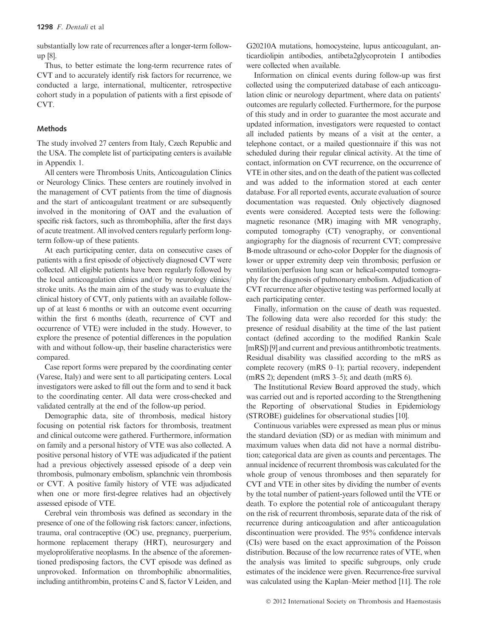substantially low rate of recurrences after a longer-term followup [8].

Thus, to better estimate the long-term recurrence rates of CVT and to accurately identify risk factors for recurrence, we conducted a large, international, multicenter, retrospective cohort study in a population of patients with a first episode of CVT.

# **Methods**

The study involved 27 centers from Italy, Czech Republic and the USA. The complete list of participating centers is available in Appendix 1.

All centers were Thrombosis Units, Anticoagulation Clinics or Neurology Clinics. These centers are routinely involved in the management of CVT patients from the time of diagnosis and the start of anticoagulant treatment or are subsequently involved in the monitoring of OAT and the evaluation of specific risk factors, such as thrombophilia, after the first days of acute treatment. All involved centers regularly perform longterm follow-up of these patients.

At each participating center, data on consecutive cases of patients with a first episode of objectively diagnosed CVT were collected. All eligible patients have been regularly followed by the local anticoagulation clinics and/or by neurology clinics/ stroke units. As the main aim of the study was to evaluate the clinical history of CVT, only patients with an available followup of at least 6 months or with an outcome event occurring within the first 6 months (death, recurrence of CVT and occurrence of VTE) were included in the study. However, to explore the presence of potential differences in the population with and without follow-up, their baseline characteristics were compared.

Case report forms were prepared by the coordinating center (Varese, Italy) and were sent to all participating centers. Local investigators were asked to fill out the form and to send it back to the coordinating center. All data were cross-checked and validated centrally at the end of the follow-up period.

Demographic data, site of thrombosis, medical history focusing on potential risk factors for thrombosis, treatment and clinical outcome were gathered. Furthermore, information on family and a personal history of VTE was also collected. A positive personal history of VTE was adjudicated if the patient had a previous objectively assessed episode of a deep vein thrombosis, pulmonary embolism, splanchnic vein thrombosis or CVT. A positive family history of VTE was adjudicated when one or more first-degree relatives had an objectively assessed episode of VTE.

Cerebral vein thrombosis was defined as secondary in the presence of one of the following risk factors: cancer, infections, trauma, oral contraceptive (OC) use, pregnancy, puerperium, hormone replacement therapy (HRT), neurosurgery and myeloproliferative neoplasms. In the absence of the aforementioned predisposing factors, the CVT episode was defined as unprovoked. Information on thrombophilic abnormalities, including antithrombin, proteins C and S, factor V Leiden, and G20210A mutations, homocysteine, lupus anticoagulant, anticardiolipin antibodies, antibeta2glycoprotein I antibodies were collected when available.

Information on clinical events during follow-up was first collected using the computerized database of each anticoagulation clinic or neurology department, where data on patients outcomes are regularly collected. Furthermore, for the purpose of this study and in order to guarantee the most accurate and updated information, investigators were requested to contact all included patients by means of a visit at the center, a telephone contact, or a mailed questionnaire if this was not scheduled during their regular clinical activity. At the time of contact, information on CVT recurrence, on the occurrence of VTE in other sites, and on the death of the patient was collected and was added to the information stored at each center database. For all reported events, accurate evaluation of source documentation was requested. Only objectively diagnosed events were considered. Accepted tests were the following: magnetic resonance (MR) imaging with MR venography, computed tomography (CT) venography, or conventional angiography for the diagnosis of recurrent CVT; compressive B-mode ultrasound or echo-color Doppler for the diagnosis of lower or upper extremity deep vein thrombosis; perfusion or ventilation/perfusion lung scan or helical-computed tomography for the diagnosis of pulmonary embolism. Adjudication of CVT recurrence after objective testing was performed locally at each participating center.

Finally, information on the cause of death was requested. The following data were also recorded for this study: the presence of residual disability at the time of the last patient contact (defined according to the modified Rankin Scale [mRS]) [9] and current and previous antithrombotic treatments. Residual disability was classified according to the mRS as complete recovery (mRS 0–1); partial recovery, independent (mRS 2); dependent (mRS 3–5); and death (mRS 6).

The Institutional Review Board approved the study, which was carried out and is reported according to the Strengthening the Reporting of observational Studies in Epidemiology (STROBE) guidelines for observational studies [10].

Continuous variables were expressed as mean plus or minus the standard deviation (SD) or as median with minimum and maximum values when data did not have a normal distribution; categorical data are given as counts and percentages. The annual incidence of recurrent thrombosis was calculated for the whole group of venous thromboses and then separately for CVT and VTE in other sites by dividing the number of events by the total number of patient-years followed until the VTE or death. To explore the potential role of anticoagulant therapy on the risk of recurrent thrombosis, separate data of the risk of recurrence during anticoagulation and after anticoagulation discontinuation were provided. The 95% confidence intervals (CIs) were based on the exact approximation of the Poisson distribution. Because of the low recurrence rates of VTE, when the analysis was limited to specific subgroups, only crude estimates of the incidence were given. Recurrence-free survival was calculated using the Kaplan–Meier method [11]. The role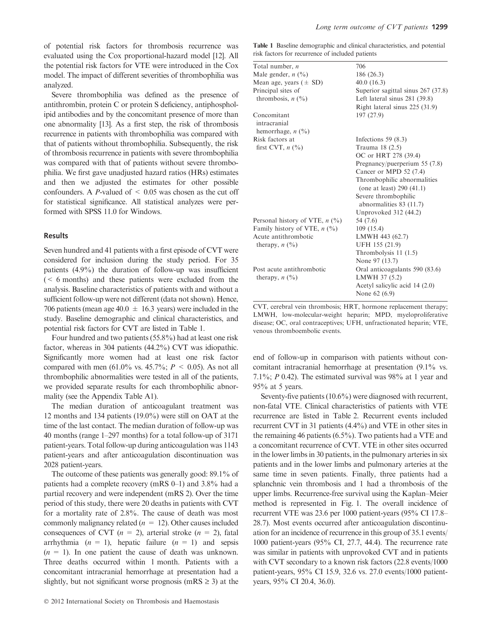of potential risk factors for thrombosis recurrence was evaluated using the Cox proportional-hazard model [12]. All the potential risk factors for VTE were introduced in the Cox model. The impact of different severities of thrombophilia was analyzed.

Severe thrombophilia was defined as the presence of antithrombin, protein C or protein S deficiency, antiphospholipid antibodies and by the concomitant presence of more than one abnormality [13]. As a first step, the risk of thrombosis recurrence in patients with thrombophilia was compared with that of patients without thrombophilia. Subsequently, the risk of thrombosis recurrence in patients with severe thrombophilia was compared with that of patients without severe thrombophilia. We first gave unadjusted hazard ratios (HRs) estimates and then we adjusted the estimates for other possible confounders. A  $P$ -valued of  $\leq$  0.05 was chosen as the cut off for statistical significance. All statistical analyzes were performed with SPSS 11.0 for Windows.

## Results

Seven hundred and 41 patients with a first episode of CVT were considered for inclusion during the study period. For 35 patients (4.9%) the duration of follow-up was insufficient (< 6 months) and these patients were excluded from the analysis. Baseline characteristics of patients with and without a sufficient follow-up were not different (data not shown). Hence, 706 patients (mean age 40.0  $\pm$  16.3 years) were included in the study. Baseline demographic and clinical characteristics, and potential risk factors for CVT are listed in Table 1.

Four hundred and two patients (55.8%) had at least one risk factor, whereas in 304 patients (44.2%) CVT was idiopathic. Significantly more women had at least one risk factor compared with men (61.0% vs. 45.7%;  $P < 0.05$ ). As not all thrombophilic abnormalities were tested in all of the patients, we provided separate results for each thrombophilic abnormality (see the Appendix Table A1).

The median duration of anticoagulant treatment was 12 months and 134 patients (19.0%) were still on OAT at the time of the last contact. The median duration of follow-up was 40 months (range 1–297 months) for a total follow-up of 3171 patient-years. Total follow-up during anticoagulation was 1143 patient-years and after anticoagulation discontinuation was 2028 patient-years.

The outcome of these patients was generally good: 89.1% of patients had a complete recovery (mRS 0–1) and 3.8% had a partial recovery and were independent (mRS 2). Over the time period of this study, there were 20 deaths in patients with CVT for a mortality rate of 2.8%. The cause of death was most commonly malignancy related ( $n = 12$ ). Other causes included consequences of CVT ( $n = 2$ ), arterial stroke ( $n = 2$ ), fatal arrhythmia  $(n = 1)$ , hepatic failure  $(n = 1)$  and sepsis  $(n = 1)$ . In one patient the cause of death was unknown. Three deaths occurred within 1 month. Patients with a concomitant intracranial hemorrhage at presentation had a slightly, but not significant worse prognosis (mRS  $\geq$  3) at the

Table 1 Baseline demographic and clinical characteristics, and potential risk factors for recurrence of included patients

| naetoro ror recurrence or menudeu puthento |  |  |  |
|--------------------------------------------|--|--|--|
| 706                                        |  |  |  |
| 186(26.3)                                  |  |  |  |
| 40.0(16.3)                                 |  |  |  |
| Superior sagittal sinus 267 (37.8)         |  |  |  |
| Left lateral sinus 281 (39.8)              |  |  |  |
| Right lateral sinus 225 (31.9)             |  |  |  |
| 197 (27.9)                                 |  |  |  |
|                                            |  |  |  |
|                                            |  |  |  |
| Infections $59(8.3)$                       |  |  |  |
| Trauma 18 (2.5)                            |  |  |  |
| OC or HRT 278 (39.4)                       |  |  |  |
| Pregnancy/puerperium 55 (7.8)              |  |  |  |
| Cancer or MPD 52 (7.4)                     |  |  |  |
| Thrombophilic abnormalities                |  |  |  |
| (one at least) $290 (41.1)$                |  |  |  |
| Severe thrombophilic                       |  |  |  |
| abnormalities 83 (11.7)                    |  |  |  |
| Unprovoked 312 (44.2)                      |  |  |  |
| 54 (7.6)                                   |  |  |  |
| 109(15.4)                                  |  |  |  |
| LMWH 443 (62.7)                            |  |  |  |
| UFH 155 (21.9)                             |  |  |  |
| Thrombolysis $11(1.5)$                     |  |  |  |
| None 97 (13.7)                             |  |  |  |
| Oral anticoagulants 590 (83.6)             |  |  |  |
| LMWH 37 (5.2)                              |  |  |  |
| Acetyl salicylic acid 14 (2.0)             |  |  |  |
| None 62 (6.9)                              |  |  |  |
|                                            |  |  |  |

CVT, cerebral vein thrombosis; HRT, hormone replacement therapy; LMWH, low-molecular-weight heparin; MPD, myeloproliferative disease; OC, oral contraceptives; UFH, unfractionated heparin; VTE, venous thromboembolic events.

end of follow-up in comparison with patients without concomitant intracranial hemorrhage at presentation (9.1% vs. 7.1%; P 0.42). The estimated survival was 98% at 1 year and 95% at 5 years.

Seventy-five patients (10.6%) were diagnosed with recurrent, non-fatal VTE. Clinical characteristics of patients with VTE recurrence are listed in Table 2. Recurrent events included recurrent CVT in 31 patients (4.4%) and VTE in other sites in the remaining 46 patients (6.5%). Two patients had a VTE and a concomitant recurrence of CVT. VTE in other sites occurred in the lower limbs in 30 patients, in the pulmonary arteries in six patients and in the lower limbs and pulmonary arteries at the same time in seven patients. Finally, three patients had a splanchnic vein thrombosis and 1 had a thrombosis of the upper limbs. Recurrence-free survival using the Kaplan–Meier method is represented in Fig. 1. The overall incidence of recurrent VTE was 23.6 per 1000 patient-years (95% CI 17.8– 28.7). Most events occurred after anticoagulation discontinuation for an incidence of recurrence in this group of 35.1 events/ 1000 patient-years (95% CI, 27.7, 44.4). The recurrence rate was similar in patients with unprovoked CVT and in patients with CVT secondary to a known risk factors (22.8 events/1000 patient-years, 95% CI 15.9, 32.6 vs. 27.0 events/1000 patientyears, 95% CI 20.4, 36.0).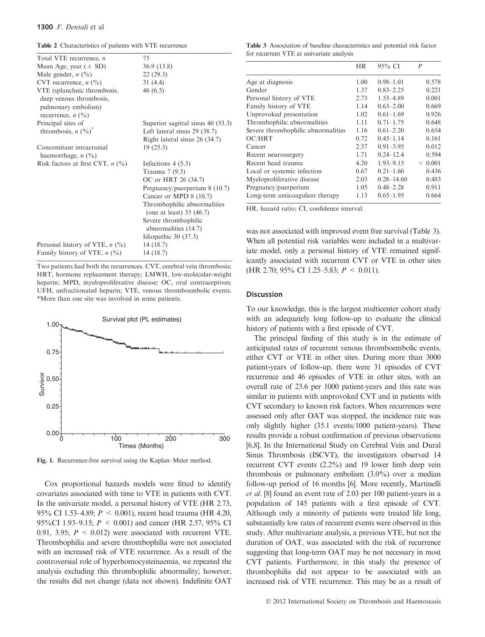1300 F. Dentali et al

Table 2 Characteristics of patients with VTE recurrence

| Total VTE recurrence, n                                                       | 75                                |
|-------------------------------------------------------------------------------|-----------------------------------|
| Mean Age, year $(\pm SD)$                                                     | 36.9 (13.8)                       |
| Male gender, $n \ (\%)$                                                       | 22(29.3)                          |
| CVT recurrence, $n$ (%)                                                       | 31(4.4)                           |
| VTE (splanchnic thrombosis,<br>deep venous thrombosis,<br>pulmonary embolism) | 46(6.5)                           |
| recurrence, $n$ (%)                                                           |                                   |
| Principal sites of                                                            | Superior sagittal sinus 40 (53.3) |
| thrombosis, $n \left(\frac{0}{0}\right)^*$                                    | Left lateral sinus $29$ (38.7)    |
|                                                                               | Right lateral sinus 26 (34.7)     |
| Concomitant intracranial<br>haemorrhage, $n$ (%)                              | 19(25.3)                          |
| Risk factors at first CVT, $n$ (%)                                            | Infections $4(5.3)$               |
|                                                                               | Trauma 7 (9.3)                    |
|                                                                               | OC or HRT 26 (34.7)               |
|                                                                               | Pregnancy/puerperium $8(10.7)$    |
|                                                                               | Cancer or MPD 8 (10.7)            |
|                                                                               | Thrombophilic abnormalities       |
|                                                                               | (one at least) 35 (46.7)          |
|                                                                               | Severe thrombophilic              |
|                                                                               | abnormalities (14.7)              |
|                                                                               | Idiopathic $30(37.3)$             |
| Personal history of VTE, $n$ (%)                                              | 14 (18.7)                         |
| Family history of VTE, $n$ (%)                                                | 14 (18.7)                         |
|                                                                               |                                   |

Two patients had both the recurrences. CVT, cerebral vein thrombosis; HRT, hormone replacement therapy; LMWH, low-molecular-weight heparin; MPD, myeloproliferative disease; OC, oral contraceptives; UFH, unfractionated heparin; VTE, venous thromboembolic events. \*More than one site was involved in some patients.



Fig. 1. Recurrence-free survival using the Kaplan–Meier method.

Cox proportional hazards models were fitted to identify covariates associated with time to VTE in patients with CVT. In the univariate model, a personal history of VTE (HR 2.73, 95% CI 1.53–4.89; P < 0.001), recent head trauma (HR 4.20, 95%CI 1.93–9.15;  $P \le 0.001$ ) and cancer (HR 2.57, 95% CI 0.91, 3.95;  $P \le 0.012$ ) were associated with recurrent VTE. Thrombophilia and severe thrombophilia were not associated with an increased risk of VTE recurrence. As a result of the controversial role of hyperhomocysteinaemia, we repeated the analysis excluding this thrombophilic abnormality; however, the results did not change (data not shown). Indefinite OAT

Table 3 Association of baseline characteristics and potential risk factor for recurrent VTE at univariate analysis

|                                    | <b>HR</b> | 95% CI         | $\boldsymbol{P}$ |
|------------------------------------|-----------|----------------|------------------|
| Age at diagnosis                   | 1.00      | $0.98 - 1.01$  | 0.578            |
| Gender                             | 1.37      | $0.83 - 2.25$  | 0.221            |
| Personal history of VTE            | 2.73      | $1.53 - 4.89$  | 0.001            |
| Family history of VTE              | 1.14      | $0.63 - 2.00$  | 0.669            |
| Unprovoked presentation            | 1.02      | $0.61 - 1.69$  | 0.926            |
| Thrombophilic abnormalities        | 1.11      | $0.71 - 1.75$  | 0.648            |
| Severe thrombophilic abnormalities | 1.16      | $0.61 - 2.20$  | 0.654            |
| OC/HRT                             | 0.72      | $0.45 - 1.14$  | 0.161            |
| Cancer                             | 2.57      | $0.91 - 3.95$  | 0.012            |
| Recent neurosurgery                | 1.71      | $0.24 - 12.4$  | 0.594            |
| Recent head trauma                 | 4.20      | $1.93 - 9.15$  | ${}< 0.001$      |
| Local or systemic infection        | 0.67      | $0.21 - 1.60$  | 0.436            |
| Myeloproliferative disease         | 2.03      | $0.28 - 14.60$ | 0.483            |
| Pregnancy/puerperium               | 1.05      | $0.48 - 2.28$  | 0.911            |
| Long-term anticoagulant therapy    | 1.13      | $0.65 - 1.95$  | 0.664            |

HR, hazard ratio; CI, confidence interval.

was not associated with improved event free survival (Table 3). When all potential risk variables were included in a multivariate model, only a personal history of VTE remained significantly associated with recurrent CVT or VTE in other sites (HR 2.70; 95% CI 1.25–5.83;  $P \le 0.011$ ).

#### Discussion

To our knowledge, this is the largest multicenter cohort study with an adequately long follow-up to evaluate the clinical history of patients with a first episode of CVT.

The principal finding of this study is in the estimate of anticipated rates of recurrent venous thromboembolic events, either CVT or VTE in other sites. During more than 3000 patient-years of follow-up, there were 31 episodes of CVT recurrence and 46 episodes of VTE in other sites, with an overall rate of 23.6 per 1000 patient-years and this rate was similar in patients with unprovoked CVT and in patients with CVT secondary to known risk factors. When recurrences were assessed only after OAT was stopped, the incidence rate was only slightly higher (35.1 events/1000 patient-years). These results provide a robust confirmation of previous observations [6,8]. In the International Study on Cerebral Vein and Dural Sinus Thrombosis (ISCVT), the investigators observed 14 recurrent CVT events (2.2%) and 19 lower limb deep vein thrombosis or pulmonary embolism (3.0%) over a median follow-up period of 16 months [6]. More recently, Martinelli et al. [8] found an event rate of 2.03 per 100 patient-years in a population of 145 patients with a first episode of CVT. Although only a minority of patients were treated life long, substantially low rates of recurrent events were observed in this study. After multivariate analysis, a previous VTE, but not the duration of OAT, was associated with the risk of recurrence suggesting that long-term OAT may be not necessary in most CVT patients. Furthermore, in this study the presence of thrombophilia did not appear to be associated with an increased risk of VTE recurrence. This may be as a result of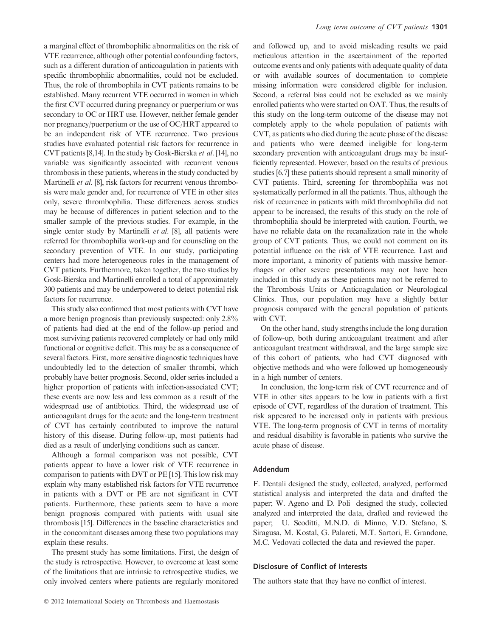a marginal effect of thrombophilic abnormalities on the risk of VTE recurrence, although other potential confounding factors, such as a different duration of anticoagulation in patients with specific thrombophilic abnormalities, could not be excluded. Thus, the role of thrombophila in CVT patients remains to be established. Many recurrent VTE occurred in women in which the first CVT occurred during pregnancy or puerperium or was secondary to OC or HRT use. However, neither female gender nor pregnancy/puerperium or the use of OC/HRT appeared to be an independent risk of VTE recurrence. Two previous studies have evaluated potential risk factors for recurrence in CVT patients [8,14]. In the study by Gosk-Bierska et al. [14], no variable was significantly associated with recurrent venous thrombosis in these patients, whereas in the study conducted by Martinelli et al. [8], risk factors for recurrent venous thrombosis were male gender and, for recurrence of VTE in other sites only, severe thrombophilia. These differences across studies may be because of differences in patient selection and to the smaller sample of the previous studies. For example, in the single center study by Martinelli *et al.* [8], all patients were referred for thrombophilia work-up and for counseling on the secondary prevention of VTE. In our study, participating centers had more heterogeneous roles in the management of CVT patients. Furthermore, taken together, the two studies by Gosk-Bierska and Martinelli enrolled a total of approximately 300 patients and may be underpowered to detect potential risk factors for recurrence.

This study also confirmed that most patients with CVT have a more benign prognosis than previously suspected: only 2.8% of patients had died at the end of the follow-up period and most surviving patients recovered completely or had only mild functional or cognitive deficit. This may be as a consequence of several factors. First, more sensitive diagnostic techniques have undoubtedly led to the detection of smaller thrombi, which probably have better prognosis. Second, older series included a higher proportion of patients with infection-associated CVT; these events are now less and less common as a result of the widespread use of antibiotics. Third, the widespread use of anticoagulant drugs for the acute and the long-term treatment of CVT has certainly contributed to improve the natural history of this disease. During follow-up, most patients had died as a result of underlying conditions such as cancer.

Although a formal comparison was not possible, CVT patients appear to have a lower risk of VTE recurrence in comparison to patients with DVT or PE [15]. This low risk may explain why many established risk factors for VTE recurrence in patients with a DVT or PE are not significant in CVT patients. Furthermore, these patients seem to have a more benign prognosis compared with patients with usual site thrombosis [15]. Differences in the baseline characteristics and in the concomitant diseases among these two populations may explain these results.

The present study has some limitations. First, the design of the study is retrospective. However, to overcome at least some of the limitations that are intrinsic to retrospective studies, we only involved centers where patients are regularly monitored and followed up, and to avoid misleading results we paid meticulous attention in the ascertainment of the reported outcome events and only patients with adequate quality of data or with available sources of documentation to complete missing information were considered eligible for inclusion. Second, a referral bias could not be excluded as we mainly enrolled patients who were started on OAT. Thus, the results of this study on the long-term outcome of the disease may not completely apply to the whole population of patients with CVT, as patients who died during the acute phase of the disease and patients who were deemed ineligible for long-term secondary prevention with anticoagulant drugs may be insufficiently represented. However, based on the results of previous studies [6,7] these patients should represent a small minority of CVT patients. Third, screening for thrombophilia was not systematically performed in all the patients. Thus, although the risk of recurrence in patients with mild thrombophilia did not appear to be increased, the results of this study on the role of thrombophilia should be interpreted with caution. Fourth, we have no reliable data on the recanalization rate in the whole group of CVT patients. Thus, we could not comment on its potential influence on the risk of VTE recurrence. Last and more important, a minority of patients with massive hemorrhages or other severe presentations may not have been included in this study as these patients may not be referred to the Thrombosis Units or Anticoagulation or Neurological Clinics. Thus, our population may have a slightly better prognosis compared with the general population of patients with CVT.

On the other hand, study strengths include the long duration of follow-up, both during anticoagulant treatment and after anticoagulant treatment withdrawal, and the large sample size of this cohort of patients, who had CVT diagnosed with objective methods and who were followed up homogeneously in a high number of centers.

In conclusion, the long-term risk of CVT recurrence and of VTE in other sites appears to be low in patients with a first episode of CVT, regardless of the duration of treatment. This risk appeared to be increased only in patients with previous VTE. The long-term prognosis of CVT in terms of mortality and residual disability is favorable in patients who survive the acute phase of disease.

# Addendum

F. Dentali designed the study, collected, analyzed, performed statistical analysis and interpreted the data and drafted the paper; W. Ageno and D. Poli designed the study, collected analyzed and interpreted the data, drafted and reviewed the paper; U. Scoditti, M.N.D. di Minno, V.D. Stefano, S. Siragusa, M. Kostal, G. Palareti, M.T. Sartori, E. Grandone, M.C. Vedovati collected the data and reviewed the paper.

## Disclosure of Conflict of Interests

The authors state that they have no conflict of interest.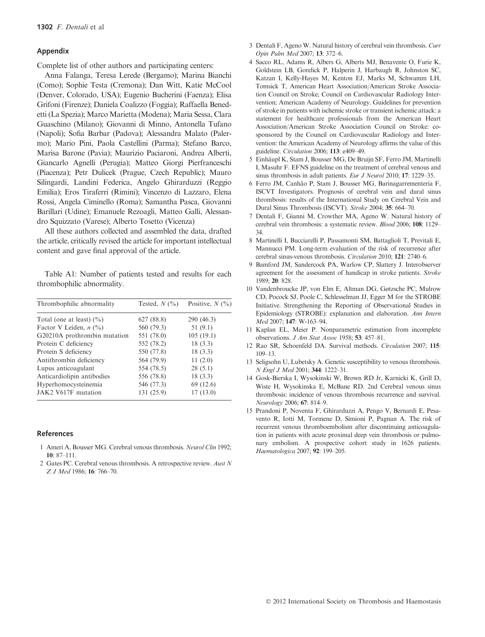## Appendix

Complete list of other authors and participating centers:

Anna Falanga, Teresa Lerede (Bergamo); Marina Bianchi (Como); Sophie Testa (Cremona); Dan Witt, Katie McCool (Denver, Colorado, USA); Eugenio Bucherini (Faenza); Elisa Grifoni (Firenze); Daniela Coalizzo (Foggia); Raffaella Benedetti (La Spezia); Marco Marietta (Modena); Maria Sessa, Clara Guaschino (Milano); Giovanni di Minno, Antonella Tufano (Napoli); Sofia Barbar (Padova); Alessandra Malato (Palermo); Mario Pini, Paola Castellini (Parma); Stefano Barco, Marisa Barone (Pavia); Maurizio Paciaroni, Andrea Alberti, Giancarlo Agnelli (Perugia); Matteo Giorgi Pierfranceschi (Piacenza); Petr Dulicek (Prague, Czech Republic); Mauro Silingardi, Landini Federica, Angelo Ghirarduzzi (Reggio Emilia); Eros Tiraferri (Rimini); Vincenzo di Lazzaro, Elena Rossi, Angela Ciminello (Roma); Samantha Pasca, Giovanni Barillari (Udine); Emanuele Rezoagli, Matteo Galli, Alessandro Squizzato (Varese); Alberto Tosetto (Vicenza)

All these authors collected and assembled the data, drafted the article, critically revised the article for important intellectual content and gave final approval of the article.

Table A1: Number of patients tested and results for each thrombophilic abnormality.

| Thrombophilic abnormality    | Tested, $N$ $(\frac{9}{6})$ | Positive, $N$ $(\%$ ) |
|------------------------------|-----------------------------|-----------------------|
| Total (one at least) $(\% )$ | 627 (88.8)                  | 290 (46.3)            |
| Factor V Leiden, $n$ (%)     | 560 (79.3)                  | 51(9.1)               |
| G20210A prothrombin mutation | 551 (78.0)                  | 105(19.1)             |
| Protein C deficiency         | 552 (78.2)                  | 18(3.3)               |
| Protein S deficiency         | 550 (77.8)                  | 18(3.3)               |
| Antithrombin deficiency      | 564 (79.9)                  | 11(2.0)               |
| Lupus anticoagulant          | 554 (78.5)                  | 28(5.1)               |
| Anticardiolipin antibodies   | 556 (78.8)                  | 18(3.3)               |
| Hyperhomocysteinemia         | 546 (77.3)                  | 69 (12.6)             |
| JAK2 V617F mutation          | 131(25.9)                   | 17(13.0)              |

## References

- 1 Ameri A, Bousser MG. Cerebral venous thrombosis. Neurol Clin 1992;  $10: 87 - 111$ .
- 2 Gates PC. Cerebral venous thrombosis. A retrospective review. Aust N Z J Med 1986; 16: 766-70.
- 3 Dentali F, Ageno W. Natural history of cerebral vein thrombosis. Curr Opin Pulm Med 2007; 13: 372–6.
- 4 Sacco RL, Adams R, Albers G, Alberts MJ, Benavente O, Furie K, Goldstein LB, Gorelick P, Halperin J, Harbaugh R, Johnston SC, Katzan I, Kelly-Hayes M, Kenton EJ, Marks M, Schwamm LH, Tomsick T, American Heart Association/American Stroke Association Council on Stroke; Council on Cardiovascular Radiology Intervention; American Academy of Neurology. Guidelines for prevention of stroke in patients with ischemic stroke or transient ischemic attack: a statement for healthcare professionals from the American Heart Association/American Stroke Association Council on Stroke: cosponsored by the Council on Cardiovascular Radiology and Intervention: the American Academy of Neurology affirms the value of this guideline. Circulation 2006; 113: e409–49.
- 5 Einhäupl K, Stam J, Bousser MG, De Bruijn SF, Ferro JM, Martinelli I, Masuhr F. EFNS guideline on the treatment of cerebral venous and sinus thrombosis in adult patients. Eur J Neurol 2010; 17: 1229–35.
- 6 Ferro JM, Canhão P, Stam J, Bousser MG, Barinagarrementeria F, ISCVT Investigators. Prognosis of cerebral vein and dural sinus thrombosis: results of the International Study on Cerebral Vein and Dural Sinus Thrombosis (ISCVT). Stroke 2004; 35: 664–70.
- 7 Dentali F, Gianni M, Crowther MA, Ageno W. Natural history of cerebral vein thrombosis: a systematic review. Blood 2006; 108: 1129– 34.
- 8 Martinelli I, Bucciarelli P, Passamonti SM, Battaglioli T, Previtali E, Mannucci PM. Long-term evaluation of the risk of recurrence after cerebral sinus-venous thrombosis. Circulation 2010; 121: 2740–6.
- 9 Bamford JM, Sandercock PA, Warlow CP, Slattery J. Interobserver agreement for the assessment of handicap in stroke patients. Stroke 1989; 20: 828.
- 10 Vandenbroucke JP, von Elm E, Altman DG, Gøtzsche PC, Mulrow CD, Pocock SJ, Poole C, Schlesselman JJ, Egger M for the STROBE Initiative. Strengthening the Reporting of Observational Studies in Epidemiology (STROBE): explanation and elaboration. Ann Intern Med 2007; 147: W-163–94.
- 11 Kaplan EL, Meier P. Nonparametric estimation from incomplete observations. J Am Stat Assoc 1958; 53: 457–81.
- 12 Rao SR, Schoenfeld DA. Survival methods. Circulation 2007; 115: 109–13.
- 13 Seligsohn U, Lubetsky A. Genetic susceptibility to venous thrombosis. N Engl J Med 2001; 344: 1222–31.
- 14 Gosk-Bierska I, Wysokinski W, Brown RD Jr, Karnicki K, Grill D, Wiste H, Wysokinska E, McBane RD. 2nd Cerebral venous sinus thrombosis: incidence of venous thrombosis recurrence and survival. Neurology 2006; 67: 814–9.
- 15 Prandoni P, Noventa F, Ghirarduzzi A, Pengo V, Bernardi E, Pesavento R, Iotti M, Tormene D, Simioni P, Pagnan A. The risk of recurrent venous thromboembolism after discontinuing anticoagulation in patients with acute proximal deep vein thrombosis or pulmonary embolism. A prospective cohort study in 1626 patients. Haematologica 2007; 92: 199–205.